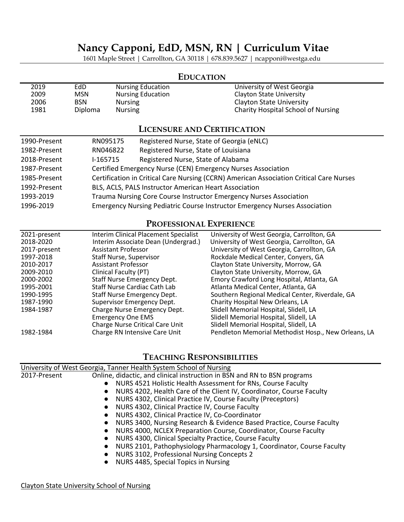# **Nancy Capponi, EdD, MSN, RN | Curriculum Vitae**

1601 Maple Street | Carrollton, GA 30118 | 678.839.5627 | ncapponi@westga.edu

### **EDUCATION**

| 2019 | EdD        | <b>Nursing Education</b> | University of West Georgia                |
|------|------------|--------------------------|-------------------------------------------|
| 2009 | <b>MSN</b> | <b>Nursing Education</b> | <b>Clayton State University</b>           |
| 2006 | <b>BSN</b> | <b>Nursing</b>           | Clayton State University                  |
| 1981 | Diploma    | <b>Nursing</b>           | <b>Charity Hospital School of Nursing</b> |

## **LICENSURE AND CERTIFICATION**

| 1990-Present | RN095175 | Registered Nurse, State of Georgia (eNLC)                                               |
|--------------|----------|-----------------------------------------------------------------------------------------|
| 1982-Present | RN046822 | Registered Nurse, State of Louisiana                                                    |
| 2018-Present | I-165715 | Registered Nurse, State of Alabama                                                      |
| 1987-Present |          | Certified Emergency Nurse (CEN) Emergency Nurses Association                            |
| 1985-Present |          | Certification in Critical Care Nursing (CCRN) American Association Critical Care Nurses |
| 1992-Present |          | BLS, ACLS, PALS Instructor American Heart Association                                   |
| 1993-2019    |          | Trauma Nursing Core Course Instructor Emergency Nurses Association                      |
| 1996-2019    |          | Emergency Nursing Pediatric Course Instructor Emergency Nurses Association              |

### **PROFESSIONAL EXPERIENCE**

| 2021-present | <b>Interim Clinical Placement Specialist</b> | University of West Georgia, Carrollton, GA          |
|--------------|----------------------------------------------|-----------------------------------------------------|
| 2018-2020    | Interim Associate Dean (Undergrad.)          | University of West Georgia, Carrollton, GA          |
| 2017-present | <b>Assistant Professor</b>                   | University of West Georgia, Carrollton, GA          |
| 1997-2018    | <b>Staff Nurse, Supervisor</b>               | Rockdale Medical Center, Conyers, GA                |
| 2010-2017    | <b>Assistant Professor</b>                   | Clayton State University, Morrow, GA                |
| 2009-2010    | Clinical Faculty (PT)                        | Clayton State University, Morrow, GA                |
| 2000-2002    | <b>Staff Nurse Emergency Dept.</b>           | Emory Crawford Long Hospital, Atlanta, GA           |
| 1995-2001    | Staff Nurse Cardiac Cath Lab                 | Atlanta Medical Center, Atlanta, GA                 |
| 1990-1995    | Staff Nurse Emergency Dept.                  | Southern Regional Medical Center, Riverdale, GA     |
| 1987-1990    | <b>Supervisor Emergency Dept.</b>            | Charity Hospital New Orleans, LA                    |
| 1984-1987    | Charge Nurse Emergency Dept.                 | Slidell Memorial Hospital, Slidell, LA              |
|              | <b>Emergency One EMS</b>                     | Slidell Memorial Hospital, Slidell, LA              |
|              | Charge Nurse Critical Care Unit              | Slidell Memorial Hospital, Slidell, LA              |
| 1982-1984    | Charge RN Intensive Care Unit                | Pendleton Memorial Methodist Hosp., New Orleans, LA |

# **TEACHING RESPONSIBILITIES**

|              | University of West Georgia, Tanner Health System School of Nursing                                                                                                                                                                                                                                                                                                                                                                                                                                   |
|--------------|------------------------------------------------------------------------------------------------------------------------------------------------------------------------------------------------------------------------------------------------------------------------------------------------------------------------------------------------------------------------------------------------------------------------------------------------------------------------------------------------------|
| 2017-Present | Online, didactic, and clinical instruction in BSN and RN to BSN programs<br>NURS 4521 Holistic Health Assessment for RNs, Course Faculty<br>$\bullet$<br>NURS 4202, Health Care of the Client IV, Coordinator, Course Faculty<br>$\bullet$<br>NURS 4302, Clinical Practice IV, Course Faculty (Preceptors)<br>$\bullet$<br>NURS 4302, Clinical Practice IV, Course Faculty                                                                                                                           |
|              | NURS 4302, Clinical Practice IV, Co-Coordinator<br>$\bullet$<br>NURS 3400, Nursing Research & Evidence Based Practice, Course Faculty<br>$\bullet$<br>NURS 4000, NCLEX Preparation Course, Coordinator, Course Faculty<br>$\bullet$<br>NURS 4300, Clinical Specialty Practice, Course Faculty<br>$\bullet$<br>NURS 2101, Pathophysiology Pharmacology 1, Coordinator, Course Faculty<br>NURS 3102, Professional Nursing Concepts 2<br>$\bullet$<br>NURS 4485, Special Topics in Nursing<br>$\bullet$ |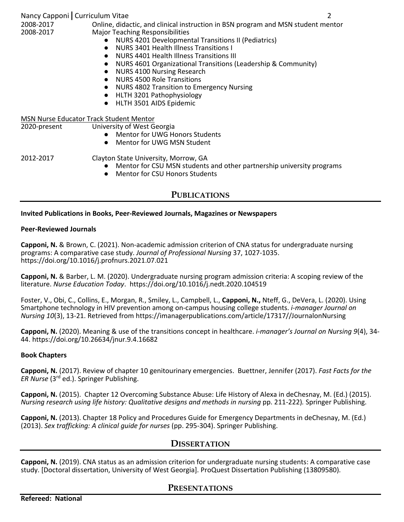| Nancy Capponi   Curriculum Vitae<br>2008-2017<br>2008-2017 | Online, didactic, and clinical instruction in BSN program and MSN student mentor<br><b>Major Teaching Responsibilities</b><br>NURS 4201 Developmental Transitions II (Pediatrics)<br>$\bullet$<br>NURS 3401 Health Illness Transitions I<br>$\bullet$<br>NURS 4401 Health Illness Transitions III<br>$\bullet$<br>NURS 4601 Organizational Transitions (Leadership & Community)<br>$\bullet$<br>NURS 4100 Nursing Research<br>$\bullet$<br><b>NURS 4500 Role Transitions</b><br>$\bullet$<br>NURS 4802 Transition to Emergency Nursing<br>$\bullet$<br>HLTH 3201 Pathophysiology<br>$\bullet$<br>HLTH 3501 AIDS Epidemic<br>$\bullet$ | 2 |
|------------------------------------------------------------|---------------------------------------------------------------------------------------------------------------------------------------------------------------------------------------------------------------------------------------------------------------------------------------------------------------------------------------------------------------------------------------------------------------------------------------------------------------------------------------------------------------------------------------------------------------------------------------------------------------------------------------|---|
| <b>MSN Nurse Educator Track Student Mentor</b>             |                                                                                                                                                                                                                                                                                                                                                                                                                                                                                                                                                                                                                                       |   |
| 2020-present                                               | University of West Georgia<br>• Mentor for UWG Honors Students<br>Mentor for UWG MSN Student<br>$\bullet$                                                                                                                                                                                                                                                                                                                                                                                                                                                                                                                             |   |
| 2012-2017                                                  | Clayton State University, Morrow, GA<br>Mentor for CSU MSN students and other partnership university programs<br>$\bullet$<br><b>Mentor for CSU Honors Students</b><br>$\bullet$                                                                                                                                                                                                                                                                                                                                                                                                                                                      |   |

# **PUBLICATIONS**

#### **Invited Publications in Books, Peer-Reviewed Journals, Magazines or Newspapers**

#### **Peer-Reviewed Journals**

**Capponi, N.** & Brown, C. (2021). Non-academic admission criterion of CNA status for undergraduate nursing programs: A comparative case study. *Journal of Professional Nursing* 37, 1027-1035. https://doi.org/10.1016/j.profnurs.2021.07.021

**Capponi, N.** & Barber, L. M. (2020). Undergraduate nursing program admission criteria: A scoping review of the literature. *Nurse Education Today*. <https://doi.org/10.1016/j.nedt.2020.104519>

Foster, V., Obi, C., Collins, E., Morgan, R., Smiley, L., Campbell, L., **Capponi, N.,** Nteff, G., DeVera, L. (2020). Using Smartphone technology in HIV prevention among on-campus housing college students. *i-manager Journal on Nursing 10*(3), 13-21. Retrieved from https://imanagerpublications.com/article/17317//JournalonNursing

**Capponi, N.** (2020). Meaning & use of the transitions concept in healthcare. *i-manager's Journal on Nursing 9*(4), 34- 44. https://doi.org/10.26634/jnur.9.4.16682

#### **Book Chapters**

**Capponi, N.** (2017). Review of chapter 10 genitourinary emergencies. Buettner, Jennifer (2017). *Fast Facts for the ER Nurse* (3rd ed.). Springer Publishing.

**Capponi, N.** (2015). Chapter 12 Overcoming Substance Abuse: Life History of Alexa in deChesnay, M. (Ed.) (2015). *Nursing research using life history: Qualitative designs and methods in nursing pp. 211-222). Springer Publishing.* 

**Capponi, N.** (2013). Chapter 18 Policy and Procedures Guide for Emergency Departments in deChesnay, M. (Ed.) (2013). *Sex trafficking: A clinical guide for nurses* (pp. 295-304). Springer Publishing.

### **DISSERTATION**

**Capponi, N.** (2019). CNA status as an admission criterion for undergraduate nursing students: A comparative case study. [Doctoral dissertation, University of West Georgia]. ProQuest Dissertation Publishing (13809580).

### **PRESENTATIONS**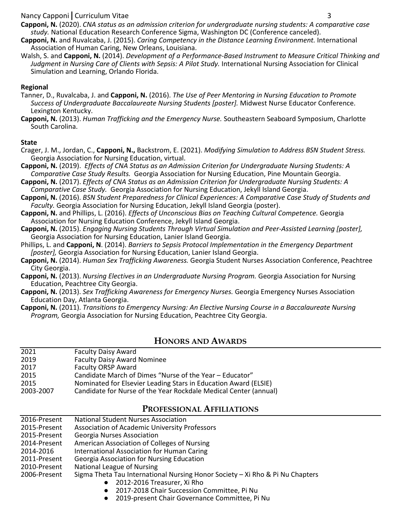#### Nancy Capponi**|**Curriculum Vitae 3

**Capponi, N.** (2020). *CNA status as an admission criterion for undergraduate nursing students: A comparative case study.* National Education Research Conference Sigma, Washington DC (Conference canceled).

- **Capponi, N.** and Ruvalcaba, J. (2015). *Caring Competency in the Distance Learning Environment.* International Association of Human Caring, New Orleans, Louisiana.
- Walsh, S. and **Capponi, N.** (2014). *Development of a Performance-Based Instrument to Measure Critical Thinking and Judgment in Nursing Care of Clients with Sepsis: A Pilot Study.* International Nursing Association for Clinical Simulation and Learning, Orlando Florida.

#### **Regional**

- Tanner, D., Ruvalcaba, J. and **Capponi, N.** (2016). *The Use of Peer Mentoring in Nursing Education to Promote Success of Undergraduate Baccalaureate Nursing Students [poster].* Midwest Nurse Educator Conference. Lexington Kentucky.
- **Capponi, N.** (2013). *Human Trafficking and the Emergency Nurse.* Southeastern Seaboard Symposium, Charlotte South Carolina.

#### **State**

- Crager, J. M., Jordan, C., **Capponi, N.,** Backstrom, E. (2021). *Modifying Simulation to Address BSN Student Stress.* Georgia Association for Nursing Education, virtual.
- **Capponi, N.** (2019). *Effects of CNA Status as an Admission Criterion for Undergraduate Nursing Students: A Comparative Case Study Results.* Georgia Association for Nursing Education, Pine Mountain Georgia.

**Capponi, N.** (2017). *Effects of CNA Status as an Admission Criterion for Undergraduate Nursing Students: A Comparative Case Study.* Georgia Association for Nursing Education, Jekyll Island Georgia.

**Capponi, N.** (2016). *BSN Student Preparedness for Clinical Experiences: A Comparative Case Study of Students and Faculty.* Georgia Association for Nursing Education, Jekyll Island Georgia (poster).

**Capponi, N.** and Phillips, L. (2016). *Effects of Unconscious Bias on Teaching Cultural Competence.* Georgia Association for Nursing Education Conference, Jekyll Island Georgia.

**Capponi, N.** (2015). *Engaging Nursing Students Through Virtual Simulation and Peer-Assisted Learning [poster],*  Georgia Association for Nursing Education, Lanier Island Georgia.

Phillips, L. and **Capponi, N**. (2014). *Barriers to Sepsis Protocol Implementation in the Emergency Department [poster],* Georgia Association for Nursing Education, Lanier Island Georgia.

**Capponi, N.** (2014). *Human Sex Trafficking Awareness.* Georgia Student Nurses Association Conference, Peachtree City Georgia.

**Capponi, N.** (2013). *Nursing Electives in an Undergraduate Nursing Program.* Georgia Association for Nursing Education, Peachtree City Georgia.

**Capponi, N.** (2013). *Sex Trafficking Awareness for Emergency Nurses.* Georgia Emergency Nurses Association Education Day, Atlanta Georgia.

**Capponi, N.** (2011). *Transitions to Emergency Nursing: An Elective Nursing Course in a Baccalaureate Nursing Program,* Georgia Association for Nursing Education, Peachtree City Georgia.

### **HONORS AND AWARDS**

| 2021      | <b>Faculty Daisy Award</b>                                       |
|-----------|------------------------------------------------------------------|
| 2019      | <b>Faculty Daisy Award Nominee</b>                               |
| 2017      | <b>Faculty ORSP Award</b>                                        |
| 2015      | Candidate March of Dimes "Nurse of the Year - Educator"          |
| 2015      | Nominated for Elsevier Leading Stars in Education Award (ELSIE)  |
| 2003-2007 | Candidate for Nurse of the Year Rockdale Medical Center (annual) |

### **PROFESSIONAL AFFILIATIONS**

| 2016-Present | <b>National Student Nurses Association</b>                                    |
|--------------|-------------------------------------------------------------------------------|
| 2015-Present | <b>Association of Academic University Professors</b>                          |
| 2015-Present | <b>Georgia Nurses Association</b>                                             |
| 2014-Present | American Association of Colleges of Nursing                                   |
| 2014-2016    | International Association for Human Caring                                    |
| 2011-Present | <b>Georgia Association for Nursing Education</b>                              |
| 2010-Present | National League of Nursing                                                    |
| 2006-Present | Sigma Theta Tau International Nursing Honor Society - Xi Rho & Pi Nu Chapters |
|              | • 2012-2016 Treasurer, Xi Rho                                                 |
|              |                                                                               |

- 2017-2018 Chair Succession Committee, Pi Nu
- 2019-present Chair Governance Committee, Pi Nu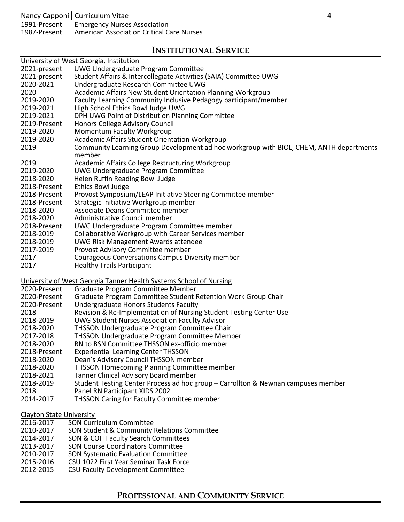# **INSTITUTIONAL SERVICE**

|                                 | University of West Georgia, Institution                                                 |
|---------------------------------|-----------------------------------------------------------------------------------------|
| 2021-present                    | UWG Undergraduate Program Committee                                                     |
| 2021-present                    | Student Affairs & Intercollegiate Activities (SAIA) Committee UWG                       |
| 2020-2021                       | Undergraduate Research Committee UWG                                                    |
| 2020                            | Academic Affairs New Student Orientation Planning Workgroup                             |
| 2019-2020                       | Faculty Learning Community Inclusive Pedagogy participant/member                        |
| 2019-2021                       | High School Ethics Bowl Judge UWG                                                       |
| 2019-2021                       | DPH UWG Point of Distribution Planning Committee                                        |
| 2019-Present                    | Honors College Advisory Council                                                         |
| 2019-2020                       | <b>Momentum Faculty Workgroup</b>                                                       |
| 2019-2020                       | <b>Academic Affairs Student Orientation Workgroup</b>                                   |
| 2019                            | Community Learning Group Development ad hoc workgroup with BIOL, CHEM, ANTH departments |
|                                 | member                                                                                  |
| 2019                            | Academic Affairs College Restructuring Workgroup                                        |
| 2019-2020                       | UWG Undergraduate Program Committee                                                     |
| 2018-2020                       | Helen Ruffin Reading Bowl Judge                                                         |
| 2018-Present                    | <b>Ethics Bowl Judge</b>                                                                |
| 2018-Present                    | Provost Symposium/LEAP Initiative Steering Committee member                             |
| 2018-Present                    | Strategic Initiative Workgroup member                                                   |
| 2018-2020                       | Associate Deans Committee member                                                        |
| 2018-2020                       | Administrative Council member                                                           |
| 2018-Present                    | UWG Undergraduate Program Committee member                                              |
| 2018-2019                       | Collaborative Workgroup with Career Services member                                     |
| 2018-2019                       | <b>UWG Risk Management Awards attendee</b>                                              |
| 2017-2019                       | Provost Advisory Committee member                                                       |
| 2017                            | Courageous Conversations Campus Diversity member                                        |
| 2017                            | <b>Healthy Trails Participant</b>                                                       |
|                                 |                                                                                         |
|                                 | University of West Georgia Tanner Health Systems School of Nursing                      |
| 2020-Present                    | Graduate Program Committee Member                                                       |
| 2020-Present                    | Graduate Program Committee Student Retention Work Group Chair                           |
| 2020-Present                    | <b>Undergraduate Honors Students Faculty</b>                                            |
| 2018                            | Revision & Re-Implementation of Nursing Student Testing Center Use                      |
| 2018-2019                       | <b>UWG Student Nurses Association Faculty Advisor</b>                                   |
| 2018-2020                       | THSSON Undergraduate Program Committee Chair                                            |
| 2017-2018                       | THSSON Undergraduate Program Committee Member                                           |
| 2018-2020                       | RN to BSN Committee THSSON ex-officio member                                            |
| 2018-Present                    | <b>Experiential Learning Center THSSON</b>                                              |
| 2018-2020                       | Dean's Advisory Council THSSON member                                                   |
| 2018-2020                       | <b>THSSON Homecoming Planning Committee member</b>                                      |
| 2018-2021                       | Tanner Clinical Advisory Board member                                                   |
| 2018-2019                       | Student Testing Center Process ad hoc group - Carrollton & Newnan campuses member       |
| 2018                            | Panel RN Participant XIDS 2002                                                          |
| 2014-2017                       | <b>THSSON Caring for Faculty Committee member</b>                                       |
| <b>Clayton State University</b> |                                                                                         |
| 2016-2017                       | <b>SON Curriculum Committee</b>                                                         |
| 2010-2017                       | SON Student & Community Relations Committee                                             |
| 2014-2017                       | SON & COH Faculty Search Committees                                                     |
| 2013-2017                       | <b>SON Course Coordinators Committee</b>                                                |
| 2010-2017                       | <b>SON Systematic Evaluation Committee</b>                                              |

- 2015-2016 CSU 1022 First Year Seminar Task Force<br>2012-2015 CSU Faculty Development Committee
- CSU Faculty Development Committee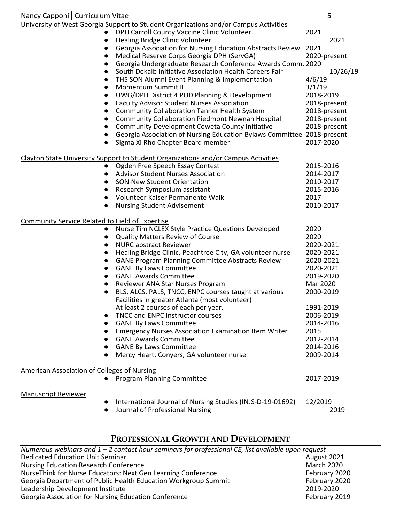| Nancy Capponi   Curriculum Vitae                       |                                                                                                         | 5            |
|--------------------------------------------------------|---------------------------------------------------------------------------------------------------------|--------------|
|                                                        | University of West Georgia Support to Student Organizations and/or Campus Activities                    |              |
|                                                        | DPH Carroll County Vaccine Clinic Volunteer                                                             | 2021         |
|                                                        | Healing Bridge Clinic Volunteer                                                                         | 2021         |
|                                                        | Georgia Association for Nursing Education Abstracts Review                                              | 2021         |
| $\bullet$                                              | Medical Reserve Corps Georgia DPH (ServGA)                                                              | 2020-present |
| $\bullet$                                              | Georgia Undergraduate Research Conference Awards Comm. 2020                                             |              |
| $\bullet$                                              | South Dekalb Initiative Association Health Careers Fair                                                 | 10/26/19     |
| $\bullet$                                              | THS SON Alumni Event Planning & Implementation                                                          | 4/6/19       |
| $\bullet$                                              | Momentum Summit II                                                                                      | 3/1/19       |
| $\bullet$                                              | UWG/DPH District 4 POD Planning & Development                                                           | 2018-2019    |
| $\bullet$                                              | <b>Faculty Advisor Student Nurses Association</b>                                                       | 2018-present |
| $\bullet$                                              | <b>Community Collaboration Tanner Health System</b>                                                     | 2018-present |
| $\bullet$                                              | <b>Community Collaboration Piedmont Newnan Hospital</b>                                                 | 2018-present |
|                                                        | Community Development Coweta County Initiative                                                          | 2018-present |
|                                                        | Georgia Association of Nursing Education Bylaws Committee 2018-present                                  |              |
|                                                        | Sigma Xi Rho Chapter Board member                                                                       | 2017-2020    |
|                                                        | Clayton State University Support to Student Organizations and/or Campus Activities                      |              |
|                                                        | Ogden Free Speech Essay Contest                                                                         | 2015-2016    |
| $\bullet$                                              | <b>Advisor Student Nurses Association</b>                                                               | 2014-2017    |
|                                                        | <b>SON New Student Orientation</b>                                                                      | 2010-2017    |
|                                                        | Research Symposium assistant                                                                            | 2015-2016    |
|                                                        | Volunteer Kaiser Permanente Walk                                                                        | 2017         |
| $\bullet$                                              | <b>Nursing Student Advisement</b>                                                                       | 2010-2017    |
| <b>Community Service Related to Field of Expertise</b> |                                                                                                         |              |
| $\bullet$                                              | Nurse Tim NCLEX Style Practice Questions Developed                                                      | 2020         |
| $\bullet$                                              | <b>Quality Matters Review of Course</b>                                                                 | 2020         |
| $\bullet$                                              | <b>NURC abstract Reviewer</b>                                                                           | 2020-2021    |
| $\bullet$                                              | Healing Bridge Clinic, Peachtree City, GA volunteer nurse                                               | 2020-2021    |
| $\bullet$                                              | <b>GANE Program Planning Committee Abstracts Review</b>                                                 | 2020-2021    |
| $\bullet$                                              | <b>GANE By Laws Committee</b>                                                                           | 2020-2021    |
| $\bullet$                                              | <b>GANE Awards Committee</b>                                                                            | 2019-2020    |
| $\bullet$                                              | Reviewer ANA Star Nurses Program                                                                        | Mar 2020     |
|                                                        | BLS, ALCS, PALS, TNCC, ENPC courses taught at various<br>Facilities in greater Atlanta (most volunteer) | 2000-2019    |
|                                                        | At least 2 courses of each per year.                                                                    | 1991-2019    |
|                                                        | TNCC and ENPC Instructor courses                                                                        | 2006-2019    |
|                                                        | <b>GANE By Laws Committee</b>                                                                           | 2014-2016    |
|                                                        | <b>Emergency Nurses Association Examination Item Writer</b>                                             | 2015         |
|                                                        | <b>GANE Awards Committee</b>                                                                            | 2012-2014    |
|                                                        | <b>GANE By Laws Committee</b>                                                                           | 2014-2016    |
|                                                        | Mercy Heart, Conyers, GA volunteer nurse                                                                | 2009-2014    |
| <b>American Association of Colleges of Nursing</b>     |                                                                                                         |              |
|                                                        | <b>Program Planning Committee</b>                                                                       | 2017-2019    |
| <b>Manuscript Reviewer</b>                             |                                                                                                         |              |
|                                                        | International Journal of Nursing Studies (INJS-D-19-01692)                                              | 12/2019      |
|                                                        | Journal of Professional Nursing                                                                         | 2019         |

# **PROFESSIONAL GROWTH AND DEVELOPMENT**

| Numerous webinars and $1 - 2$ contact hour seminars for professional CE, list available upon request |                   |
|------------------------------------------------------------------------------------------------------|-------------------|
| <b>Dedicated Education Unit Seminar</b>                                                              | August 2021       |
| <b>Nursing Education Research Conference</b>                                                         | <b>March 2020</b> |
| NurseThink for Nurse Educators: Next Gen Learning Conference                                         | February 2020     |
| Georgia Department of Public Health Education Workgroup Summit                                       | February 2020     |
| Leadership Development Institute                                                                     | 2019-2020         |
| Georgia Association for Nursing Education Conference                                                 | February 2019     |